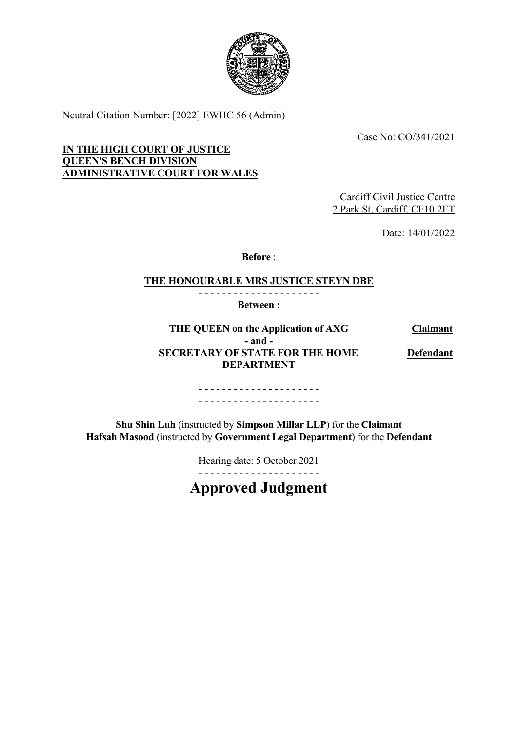

Neutral Citation Number: [2022] EWHC 56 (Admin)

Case No: CO/341/2021

**IN THE HIGH COURT OF JUSTICE QUEEN'S BENCH DIVISION ADMINISTRATIVE COURT FOR WALES**

> Cardiff Civil Justice Centre 2 Park St, Cardiff, CF10 2ET

> > Date: 14/01/2022

**Before** :

#### **THE HONOURABLE MRS JUSTICE STEYN DBE** - - - - - - - - - - - - - - - - - - - - -

**Between :**

**THE QUEEN on the Application of AXG Claimant - and - SECRETARY OF STATE FOR THE HOME DEPARTMENT Defendant**

> - - - - - - - - - - - - - - - - - - - - - - - - - - - - - - - - - - - - - - - - - -

**Shu Shin Luh** (instructed by **Simpson Millar LLP**) for the **Claimant Hafsah Masood** (instructed by **Government Legal Department**) for the **Defendant**

> Hearing date: 5 October 2021 - - - - - - - - - - - - - - - - - - - - -

**Approved Judgment**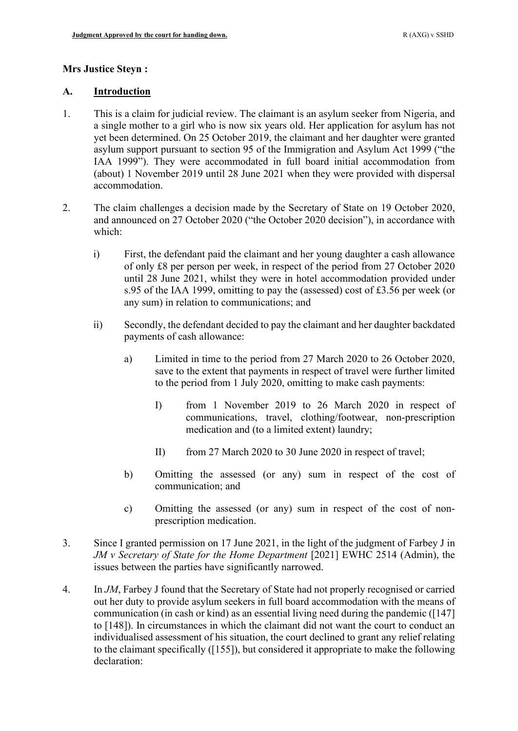#### **Mrs Justice Steyn :**

#### **A. Introduction**

- 1. This is a claim for judicial review. The claimant is an asylum seeker from Nigeria, and a single mother to a girl who is now six years old. Her application for asylum has not yet been determined. On 25 October 2019, the claimant and her daughter were granted asylum support pursuant to section 95 of the Immigration and Asylum Act 1999 ("the IAA 1999"). They were accommodated in full board initial accommodation from (about) 1 November 2019 until 28 June 2021 when they were provided with dispersal accommodation.
- <span id="page-1-0"></span>2. The claim challenges a decision made by the Secretary of State on 19 October 2020, and announced on 27 October 2020 ("the October 2020 decision"), in accordance with which:
	- i) First, the defendant paid the claimant and her young daughter a cash allowance of only £8 per person per week, in respect of the period from 27 October 2020 until 28 June 2021, whilst they were in hotel accommodation provided under s.95 of the IAA 1999, omitting to pay the (assessed) cost of £3.56 per week (or any sum) in relation to communications; and
	- ii) Secondly, the defendant decided to pay the claimant and her daughter backdated payments of cash allowance:
		- a) Limited in time to the period from 27 March 2020 to 26 October 2020, save to the extent that payments in respect of travel were further limited to the period from 1 July 2020, omitting to make cash payments:
			- I) from 1 November 2019 to 26 March 2020 in respect of communications, travel, clothing/footwear, non-prescription medication and (to a limited extent) laundry;
			- II) from 27 March 2020 to 30 June 2020 in respect of travel;
		- b) Omitting the assessed (or any) sum in respect of the cost of communication; and
		- c) Omitting the assessed (or any) sum in respect of the cost of nonprescription medication.
- 3. Since I granted permission on 17 June 2021, in the light of the judgment of Farbey J in *JM v Secretary of State for the Home Department* [2021] EWHC 2514 (Admin), the issues between the parties have significantly narrowed.
- <span id="page-1-1"></span>4. In *JM*, Farbey J found that the Secretary of State had not properly recognised or carried out her duty to provide asylum seekers in full board accommodation with the means of communication (in cash or kind) as an essential living need during the pandemic ([147] to [148]). In circumstances in which the claimant did not want the court to conduct an individualised assessment of his situation, the court declined to grant any relief relating to the claimant specifically ([155]), but considered it appropriate to make the following declaration: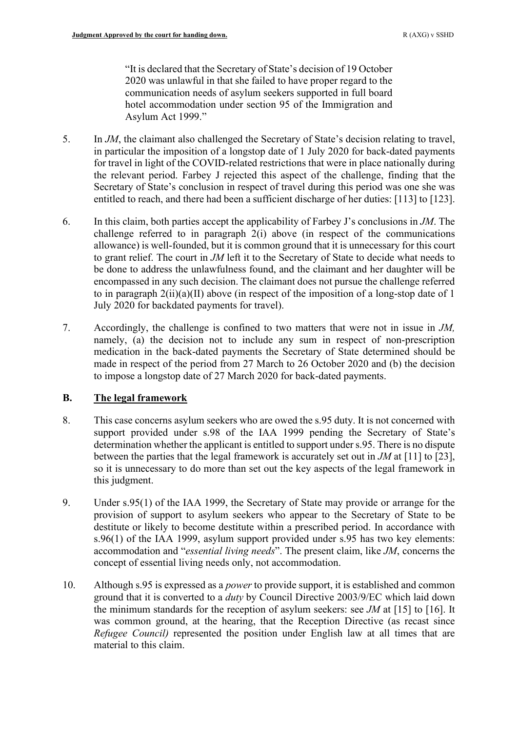"It is declared that the Secretary of State's decision of 19 October 2020 was unlawful in that she failed to have proper regard to the communication needs of asylum seekers supported in full board hotel accommodation under section 95 of the Immigration and Asylum Act 1999."

- 5. In *JM*, the claimant also challenged the Secretary of State's decision relating to travel, in particular the imposition of a longstop date of 1 July 2020 for back-dated payments for travel in light of the COVID-related restrictions that were in place nationally during the relevant period. Farbey J rejected this aspect of the challenge, finding that the Secretary of State's conclusion in respect of travel during this period was one she was entitled to reach, and there had been a sufficient discharge of her duties: [113] to [123].
- 6. In this claim, both parties accept the applicability of Farbey J's conclusions in *JM*. The challenge referred to in paragraph [2\(i\) above](#page-1-0) (in respect of the communications allowance) is well-founded, but it is common ground that it is unnecessary for this court to grant relief. The court in *JM* left it to the Secretary of State to decide what needs to be done to address the unlawfulness found, and the claimant and her daughter will be encompassed in any such decision. The claimant does not pursue the challenge referred to in paragraph  $2(ii)(a)(II)$  above (in respect of the imposition of a long-stop date of 1 July 2020 for backdated payments for travel).
- 7. Accordingly, the challenge is confined to two matters that were not in issue in *JM,*  namely, (a) the decision not to include any sum in respect of non-prescription medication in the back-dated payments the Secretary of State determined should be made in respect of the period from 27 March to 26 October 2020 and (b) the decision to impose a longstop date of 27 March 2020 for back-dated payments.

# **B. The legal framework**

- 8. This case concerns asylum seekers who are owed the s.95 duty. It is not concerned with support provided under s.98 of the IAA 1999 pending the Secretary of State's determination whether the applicant is entitled to support under s.95. There is no dispute between the parties that the legal framework is accurately set out in *JM* at [11] to [23], so it is unnecessary to do more than set out the key aspects of the legal framework in this judgment.
- 9. Under s.95(1) of the IAA 1999, the Secretary of State may provide or arrange for the provision of support to asylum seekers who appear to the Secretary of State to be destitute or likely to become destitute within a prescribed period. In accordance with s.96(1) of the IAA 1999, asylum support provided under s.95 has two key elements: accommodation and "*essential living needs*". The present claim, like *JM*, concerns the concept of essential living needs only, not accommodation.
- 10. Although s.95 is expressed as a *power* to provide support, it is established and common ground that it is converted to a *duty* by Council Directive 2003/9/EC which laid down the minimum standards for the reception of asylum seekers: see *JM* at [15] to [16]. It was common ground, at the hearing, that the Reception Directive (as recast since *Refugee Council)* represented the position under English law at all times that are material to this claim.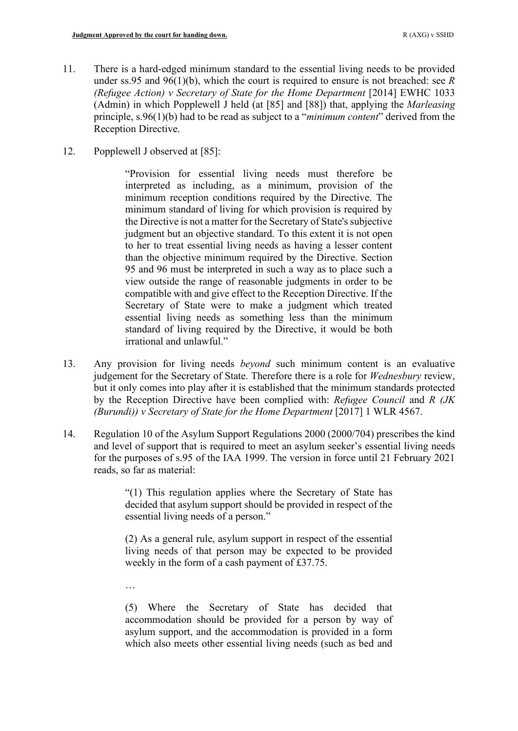- 11. There is a hard-edged minimum standard to the essential living needs to be provided under ss.95 and 96(1)(b), which the court is required to ensure is not breached: see *R (Refugee Action) v Secretary of State for the Home Department [2014] EWHC 1033* (Admin) in which Popplewell J held (at [85] and [88]) that, applying the *Marleasing* principle, s.96(1)(b) had to be read as subject to a "*minimum content*" derived from the Reception Directive.
- 12. Popplewell J observed at [85]:

"Provision for essential living needs must therefore be interpreted as including, as a minimum, provision of the minimum reception conditions required by the Directive. The minimum standard of living for which provision is required by the Directive is not a matter for the Secretary of State's subjective judgment but an objective standard. To this extent it is not open to her to treat essential living needs as having a lesser content than the objective minimum required by the Directive. Section 95 and 96 must be interpreted in such a way as to place such a view outside the range of reasonable judgments in order to be compatible with and give effect to the Reception Directive. If the Secretary of State were to make a judgment which treated essential living needs as something less than the minimum standard of living required by the Directive, it would be both irrational and unlawful."

- 13. Any provision for living needs *beyond* such minimum content is an evaluative judgement for the Secretary of State. Therefore there is a role for *Wednesbury* review, but it only comes into play after it is established that the minimum standards protected by the Reception Directive have been complied with: *Refugee Council* and *R (JK (Burundi)) v Secretary of State for the Home Department* [2017] 1 WLR 4567.
- 14. Regulation 10 of the Asylum Support Regulations 2000 (2000/704) prescribes the kind and level of support that is required to meet an asylum seeker's essential living needs for the purposes of s.95 of the IAA 1999. The version in force until 21 February 2021 reads, so far as material:

"(1) This regulation applies where the Secretary of State has decided that asylum support should be provided in respect of the essential living needs of a person."

(2) As a general rule, asylum support in respect of the essential living needs of that person may be expected to be provided weekly in the form of a cash payment of £37.75.

…

(5) Where the Secretary of State has decided that accommodation should be provided for a person by way of asylum support, and the accommodation is provided in a form which also meets other essential living needs (such as bed and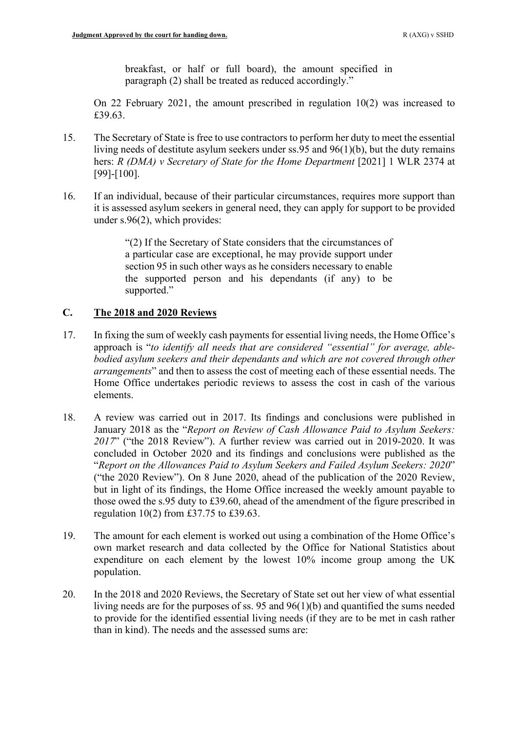breakfast, or half or full board), the amount specified in paragraph (2) shall be treated as reduced accordingly."

On 22 February 2021, the amount prescribed in regulation 10(2) was increased to £39.63.

- 15. The Secretary of State is free to use contractors to perform her duty to meet the essential living needs of destitute asylum seekers under ss.95 and 96(1)(b), but the duty remains hers: *R (DMA) v Secretary of State for the Home Department* [2021] 1 WLR 2374 at [99]-[100].
- 16. If an individual, because of their particular circumstances, requires more support than it is assessed asylum seekers in general need, they can apply for support to be provided under s.96(2), which provides:

"(2) If the Secretary of State considers that the circumstances of a particular case are exceptional, he may provide support under section 95 in such other ways as he considers necessary to enable the supported person and his dependants (if any) to be supported."

### **C. The 2018 and 2020 Reviews**

- 17. In fixing the sum of weekly cash payments for essential living needs, the Home Office's approach is "*to identify all needs that are considered "essential" for average, ablebodied asylum seekers and their dependants and which are not covered through other arrangements*" and then to assess the cost of meeting each of these essential needs. The Home Office undertakes periodic reviews to assess the cost in cash of the various elements.
- <span id="page-4-0"></span>18. A review was carried out in 2017. Its findings and conclusions were published in January 2018 as the "*Report on Review of Cash Allowance Paid to Asylum Seekers: 2017*" ("the 2018 Review"). A further review was carried out in 2019-2020. It was concluded in October 2020 and its findings and conclusions were published as the "*Report on the Allowances Paid to Asylum Seekers and Failed Asylum Seekers: 2020*" ("the 2020 Review"). On 8 June 2020, ahead of the publication of the 2020 Review, but in light of its findings, the Home Office increased the weekly amount payable to those owed the s.95 duty to £39.60, ahead of the amendment of the figure prescribed in regulation 10(2) from £37.75 to £39.63.
- 19. The amount for each element is worked out using a combination of the Home Office's own market research and data collected by the Office for National Statistics about expenditure on each element by the lowest 10% income group among the UK population.
- <span id="page-4-1"></span>20. In the 2018 and 2020 Reviews, the Secretary of State set out her view of what essential living needs are for the purposes of ss. 95 and 96(1)(b) and quantified the sums needed to provide for the identified essential living needs (if they are to be met in cash rather than in kind). The needs and the assessed sums are: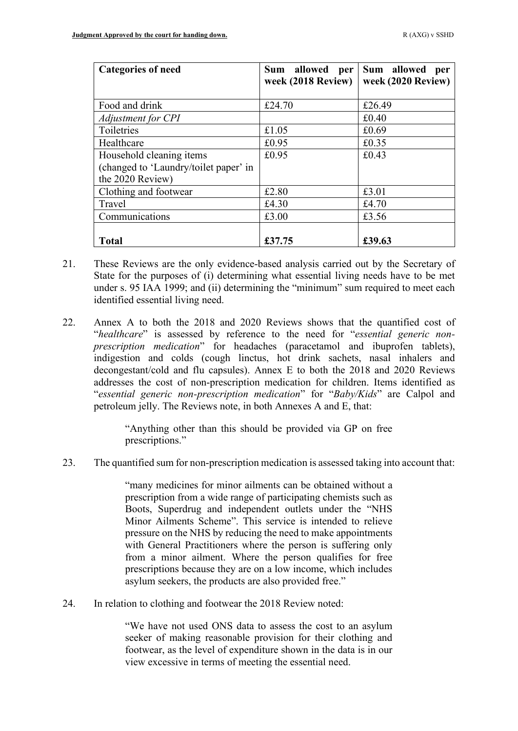| <b>Categories of need</b>             | allowed<br><b>Sum</b><br>per<br>week (2018 Review) | Sum allowed<br>per<br>week (2020 Review) |
|---------------------------------------|----------------------------------------------------|------------------------------------------|
| Food and drink                        | £24.70                                             | £26.49                                   |
| Adjustment for CPI                    |                                                    | £0.40                                    |
| Toiletries                            | £1.05                                              | £0.69                                    |
| Healthcare                            | £0.95                                              | £0.35                                    |
| Household cleaning items              | £0.95                                              | £0.43                                    |
| (changed to 'Laundry/toilet paper' in |                                                    |                                          |
| the 2020 Review)                      |                                                    |                                          |
| Clothing and footwear                 | £2.80                                              | £3.01                                    |
| Travel                                | £4.30                                              | £4.70                                    |
| Communications                        | £3.00                                              | £3.56                                    |
|                                       |                                                    |                                          |
| <b>Total</b>                          | £37.75                                             | £39.63                                   |

- 21. These Reviews are the only evidence-based analysis carried out by the Secretary of State for the purposes of (i) determining what essential living needs have to be met under s. 95 IAA 1999; and (ii) determining the "minimum" sum required to meet each identified essential living need.
- <span id="page-5-0"></span>22. Annex A to both the 2018 and 2020 Reviews shows that the quantified cost of "*healthcare*" is assessed by reference to the need for "*essential generic nonprescription medication*" for headaches (paracetamol and ibuprofen tablets), indigestion and colds (cough linctus, hot drink sachets, nasal inhalers and decongestant/cold and flu capsules). Annex E to both the 2018 and 2020 Reviews addresses the cost of non-prescription medication for children. Items identified as "*essential generic non-prescription medication*" for "*Baby/Kids*" are Calpol and petroleum jelly. The Reviews note, in both Annexes A and E, that:

"Anything other than this should be provided via GP on free prescriptions."

<span id="page-5-1"></span>23. The quantified sum for non-prescription medication is assessed taking into account that:

"many medicines for minor ailments can be obtained without a prescription from a wide range of participating chemists such as Boots, Superdrug and independent outlets under the "NHS Minor Ailments Scheme". This service is intended to relieve pressure on the NHS by reducing the need to make appointments with General Practitioners where the person is suffering only from a minor ailment. Where the person qualifies for free prescriptions because they are on a low income, which includes asylum seekers, the products are also provided free."

24. In relation to clothing and footwear the 2018 Review noted:

"We have not used ONS data to assess the cost to an asylum seeker of making reasonable provision for their clothing and footwear, as the level of expenditure shown in the data is in our view excessive in terms of meeting the essential need.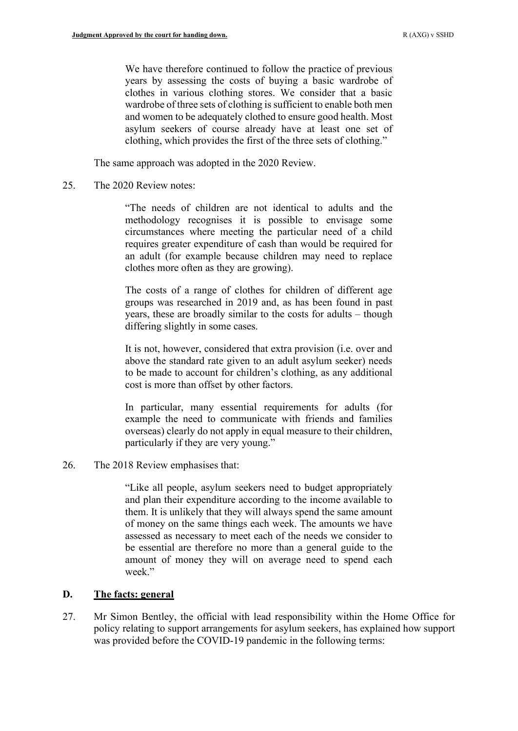We have therefore continued to follow the practice of previous years by assessing the costs of buying a basic wardrobe of clothes in various clothing stores. We consider that a basic wardrobe of three sets of clothing is sufficient to enable both men and women to be adequately clothed to ensure good health. Most asylum seekers of course already have at least one set of clothing, which provides the first of the three sets of clothing."

The same approach was adopted in the 2020 Review.

25. The 2020 Review notes:

"The needs of children are not identical to adults and the methodology recognises it is possible to envisage some circumstances where meeting the particular need of a child requires greater expenditure of cash than would be required for an adult (for example because children may need to replace clothes more often as they are growing).

The costs of a range of clothes for children of different age groups was researched in 2019 and, as has been found in past years, these are broadly similar to the costs for adults – though differing slightly in some cases.

It is not, however, considered that extra provision (i.e. over and above the standard rate given to an adult asylum seeker) needs to be made to account for children's clothing, as any additional cost is more than offset by other factors.

In particular, many essential requirements for adults (for example the need to communicate with friends and families overseas) clearly do not apply in equal measure to their children, particularly if they are very young."

26. The 2018 Review emphasises that:

"Like all people, asylum seekers need to budget appropriately and plan their expenditure according to the income available to them. It is unlikely that they will always spend the same amount of money on the same things each week. The amounts we have assessed as necessary to meet each of the needs we consider to be essential are therefore no more than a general guide to the amount of money they will on average need to spend each week."

### **D. The facts: general**

27. Mr Simon Bentley, the official with lead responsibility within the Home Office for policy relating to support arrangements for asylum seekers, has explained how support was provided before the COVID-19 pandemic in the following terms: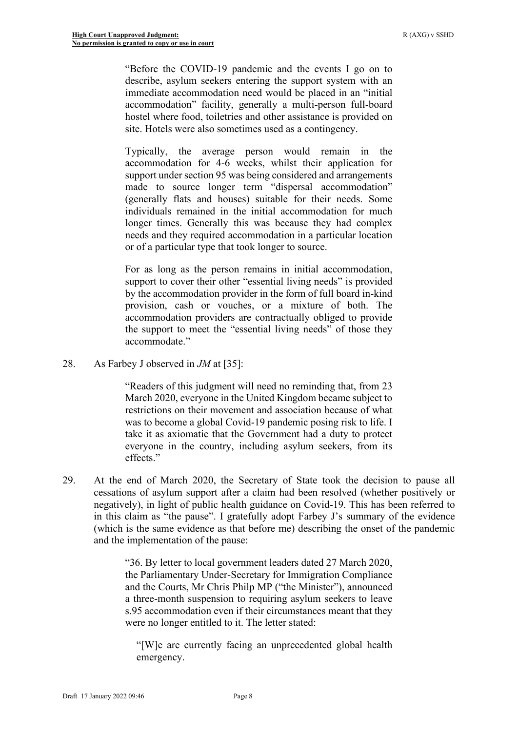"Before the COVID-19 pandemic and the events I go on to describe, asylum seekers entering the support system with an immediate accommodation need would be placed in an "initial accommodation" facility, generally a multi-person full-board hostel where food, toiletries and other assistance is provided on site. Hotels were also sometimes used as a contingency.

Typically, the average person would remain in the accommodation for 4-6 weeks, whilst their application for support under section 95 was being considered and arrangements made to source longer term "dispersal accommodation" (generally flats and houses) suitable for their needs. Some individuals remained in the initial accommodation for much longer times. Generally this was because they had complex needs and they required accommodation in a particular location or of a particular type that took longer to source.

For as long as the person remains in initial accommodation, support to cover their other "essential living needs" is provided by the accommodation provider in the form of full board in-kind provision, cash or vouches, or a mixture of both. The accommodation providers are contractually obliged to provide the support to meet the "essential living needs" of those they accommodate."

28. As Farbey J observed in *JM* at [35]:

"Readers of this judgment will need no reminding that, from 23 March 2020, everyone in the United Kingdom became subject to restrictions on their movement and association because of what was to become a global Covid-19 pandemic posing risk to life. I take it as axiomatic that the Government had a duty to protect everyone in the country, including asylum seekers, from its effects."

29. At the end of March 2020, the Secretary of State took the decision to pause all cessations of asylum support after a claim had been resolved (whether positively or negatively), in light of public health guidance on Covid-19. This has been referred to in this claim as "the pause". I gratefully adopt Farbey J's summary of the evidence (which is the same evidence as that before me) describing the onset of the pandemic and the implementation of the pause:

> "36. By letter to local government leaders dated 27 March 2020, the Parliamentary Under-Secretary for Immigration Compliance and the Courts, Mr Chris Philp MP ("the Minister"), announced a three-month suspension to requiring asylum seekers to leave s.95 accommodation even if their circumstances meant that they were no longer entitled to it. The letter stated:

"[W]e are currently facing an unprecedented global health emergency.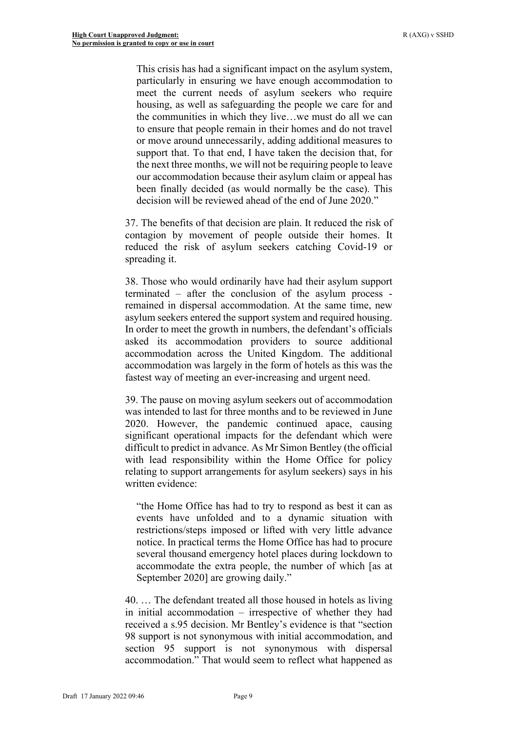This crisis has had a significant impact on the asylum system, particularly in ensuring we have enough accommodation to meet the current needs of asylum seekers who require housing, as well as safeguarding the people we care for and the communities in which they live…we must do all we can to ensure that people remain in their homes and do not travel or move around unnecessarily, adding additional measures to support that. To that end, I have taken the decision that, for the next three months, we will not be requiring people to leave our accommodation because their asylum claim or appeal has been finally decided (as would normally be the case). This decision will be reviewed ahead of the end of June 2020."

37. The benefits of that decision are plain. It reduced the risk of contagion by movement of people outside their homes. It reduced the risk of asylum seekers catching Covid-19 or spreading it.

38. Those who would ordinarily have had their asylum support terminated – after the conclusion of the asylum process remained in dispersal accommodation. At the same time, new asylum seekers entered the support system and required housing. In order to meet the growth in numbers, the defendant's officials asked its accommodation providers to source additional accommodation across the United Kingdom. The additional accommodation was largely in the form of hotels as this was the fastest way of meeting an ever-increasing and urgent need.

39. The pause on moving asylum seekers out of accommodation was intended to last for three months and to be reviewed in June 2020. However, the pandemic continued apace, causing significant operational impacts for the defendant which were difficult to predict in advance. As Mr Simon Bentley (the official with lead responsibility within the Home Office for policy relating to support arrangements for asylum seekers) says in his written evidence:

"the Home Office has had to try to respond as best it can as events have unfolded and to a dynamic situation with restrictions/steps imposed or lifted with very little advance notice. In practical terms the Home Office has had to procure several thousand emergency hotel places during lockdown to accommodate the extra people, the number of which [as at September 2020] are growing daily."

40. … The defendant treated all those housed in hotels as living in initial accommodation – irrespective of whether they had received a s.95 decision. Mr Bentley's evidence is that "section 98 support is not synonymous with initial accommodation, and section 95 support is not synonymous with dispersal accommodation." That would seem to reflect what happened as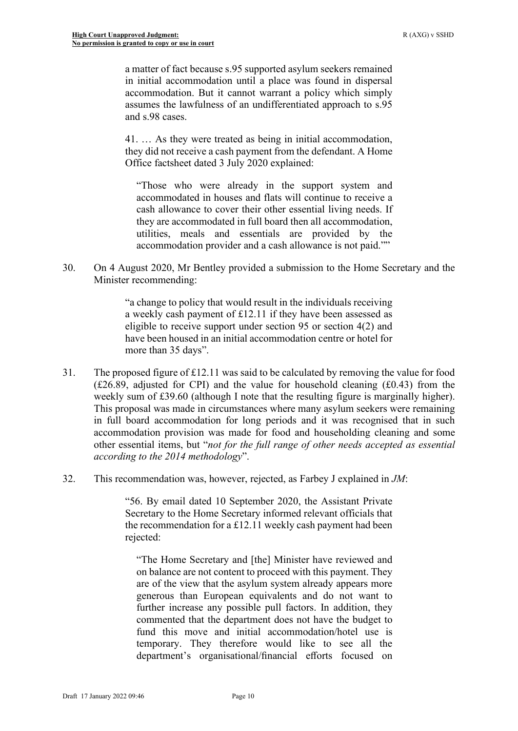a matter of fact because s.95 supported asylum seekers remained in initial accommodation until a place was found in dispersal accommodation. But it cannot warrant a policy which simply assumes the lawfulness of an undifferentiated approach to s.95 and s.98 cases.

41. … As they were treated as being in initial accommodation, they did not receive a cash payment from the defendant. A Home Office factsheet dated 3 July 2020 explained:

"Those who were already in the support system and accommodated in houses and flats will continue to receive a cash allowance to cover their other essential living needs. If they are accommodated in full board then all accommodation, utilities, meals and essentials are provided by the accommodation provider and a cash allowance is not paid.""

30. On 4 August 2020, Mr Bentley provided a submission to the Home Secretary and the Minister recommending:

> "a change to policy that would result in the individuals receiving a weekly cash payment of £12.11 if they have been assessed as eligible to receive support under section 95 or section 4(2) and have been housed in an initial accommodation centre or hotel for more than 35 days".

- 31. The proposed figure of £12.11 was said to be calculated by removing the value for food  $(E26.89,$  adjusted for CPI) and the value for household cleaning  $(E0.43)$  from the weekly sum of £39.60 (although I note that the resulting figure is marginally higher). This proposal was made in circumstances where many asylum seekers were remaining in full board accommodation for long periods and it was recognised that in such accommodation provision was made for food and householding cleaning and some other essential items, but "*not for the full range of other needs accepted as essential according to the 2014 methodology*".
- 32. This recommendation was, however, rejected, as Farbey J explained in *JM*:

"56. By email dated 10 September 2020, the Assistant Private Secretary to the Home Secretary informed relevant officials that the recommendation for a £12.11 weekly cash payment had been rejected:

"The Home Secretary and [the] Minister have reviewed and on balance are not content to proceed with this payment. They are of the view that the asylum system already appears more generous than European equivalents and do not want to further increase any possible pull factors. In addition, they commented that the department does not have the budget to fund this move and initial accommodation/hotel use is temporary. They therefore would like to see all the department's organisational/financial efforts focused on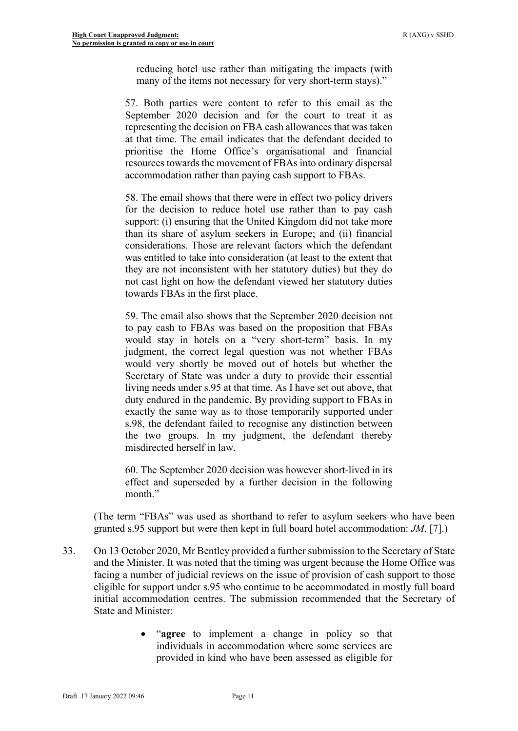reducing hotel use rather than mitigating the impacts (with many of the items not necessary for very short-term stays)."

57. Both parties were content to refer to this email as the September 2020 decision and for the court to treat it as representing the decision on FBA cash allowances that was taken at that time. The email indicates that the defendant decided to prioritise the Home Office's organisational and financial resources towards the movement of FBAs into ordinary dispersal accommodation rather than paying cash support to FBAs.

58. The email shows that there were in effect two policy drivers for the decision to reduce hotel use rather than to pay cash support: (i) ensuring that the United Kingdom did not take more than its share of asylum seekers in Europe; and (ii) financial considerations. Those are relevant factors which the defendant was entitled to take into consideration (at least to the extent that they are not inconsistent with her statutory duties) but they do not cast light on how the defendant viewed her statutory duties towards FBAs in the first place.

59. The email also shows that the September 2020 decision not to pay cash to FBAs was based on the proposition that FBAs would stay in hotels on a "very short-term" basis. In my judgment, the correct legal question was not whether FBAs would very shortly be moved out of hotels but whether the Secretary of State was under a duty to provide their essential living needs under s.95 at that time. As I have set out above, that duty endured in the pandemic. By providing support to FBAs in exactly the same way as to those temporarily supported under s.98, the defendant failed to recognise any distinction between the two groups. In my judgment, the defendant thereby misdirected herself in law.

60. The September 2020 decision was however short-lived in its effect and superseded by a further decision in the following month."

(The term "FBAs" was used as shorthand to refer to asylum seekers who have been granted s.95 support but were then kept in full board hotel accommodation: *JM*, [7].)

- 33. On 13 October 2020, Mr Bentley provided a further submission to the Secretary of State and the Minister. It was noted that the timing was urgent because the Home Office was facing a number of judicial reviews on the issue of provision of cash support to those eligible for support under s.95 who continue to be accommodated in mostly full board initial accommodation centres. The submission recommended that the Secretary of State and Minister:
	- "**agree** to implement a change in policy so that individuals in accommodation where some services are provided in kind who have been assessed as eligible for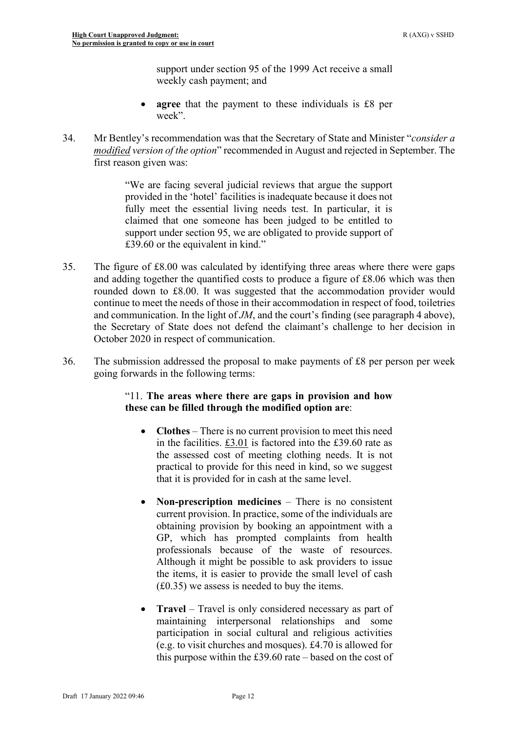support under section 95 of the 1999 Act receive a small weekly cash payment; and

- **agree** that the payment to these individuals is £8 per week".
- 34. Mr Bentley's recommendation was that the Secretary of State and Minister "*consider a modified version of the option*" recommended in August and rejected in September. The first reason given was:

"We are facing several judicial reviews that argue the support provided in the 'hotel' facilities is inadequate because it does not fully meet the essential living needs test. In particular, it is claimed that one someone has been judged to be entitled to support under section 95, we are obligated to provide support of £39.60 or the equivalent in kind."

- 35. The figure of £8.00 was calculated by identifying three areas where there were gaps and adding together the quantified costs to produce a figure of £8.06 which was then rounded down to £8.00. It was suggested that the accommodation provider would continue to meet the needs of those in their accommodation in respect of food, toiletries and communication. In the light of *JM*, and the court's finding (see paragraph [4 above\)](#page-1-1), the Secretary of State does not defend the claimant's challenge to her decision in October 2020 in respect of communication.
- <span id="page-11-0"></span>36. The submission addressed the proposal to make payments of £8 per person per week going forwards in the following terms:

### "11. **The areas where there are gaps in provision and how these can be filled through the modified option are**:

- **Clothes** There is no current provision to meet this need in the facilities. £3.01 is factored into the £39.60 rate as the assessed cost of meeting clothing needs. It is not practical to provide for this need in kind, so we suggest that it is provided for in cash at the same level.
- **Non-prescription medicines** There is no consistent current provision. In practice, some of the individuals are obtaining provision by booking an appointment with a GP, which has prompted complaints from health professionals because of the waste of resources. Although it might be possible to ask providers to issue the items, it is easier to provide the small level of cash (£0.35) we assess is needed to buy the items.
- **Travel** Travel is only considered necessary as part of maintaining interpersonal relationships and some participation in social cultural and religious activities (e.g. to visit churches and mosques). £4.70 is allowed for this purpose within the £39.60 rate – based on the cost of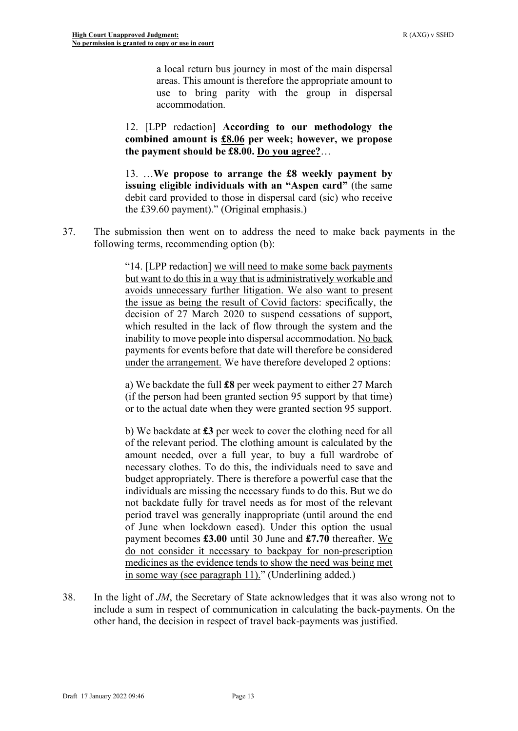a local return bus journey in most of the main dispersal areas. This amount is therefore the appropriate amount to use to bring parity with the group in dispersal accommodation.

12. [LPP redaction] **According to our methodology the combined amount is £8.06 per week; however, we propose the payment should be £8.00. Do you agree?**…

13. …**We propose to arrange the £8 weekly payment by issuing eligible individuals with an "Aspen card"** (the same debit card provided to those in dispersal card (sic) who receive the £39.60 payment)." (Original emphasis.)

37. The submission then went on to address the need to make back payments in the following terms, recommending option (b):

> "14. [LPP redaction] we will need to make some back payments but want to do this in a way that is administratively workable and avoids unnecessary further litigation. We also want to present the issue as being the result of Covid factors: specifically, the decision of 27 March 2020 to suspend cessations of support, which resulted in the lack of flow through the system and the inability to move people into dispersal accommodation. No back payments for events before that date will therefore be considered under the arrangement. We have therefore developed 2 options:

> a) We backdate the full **£8** per week payment to either 27 March (if the person had been granted section 95 support by that time) or to the actual date when they were granted section 95 support.

> b) We backdate at **£3** per week to cover the clothing need for all of the relevant period. The clothing amount is calculated by the amount needed, over a full year, to buy a full wardrobe of necessary clothes. To do this, the individuals need to save and budget appropriately. There is therefore a powerful case that the individuals are missing the necessary funds to do this. But we do not backdate fully for travel needs as for most of the relevant period travel was generally inappropriate (until around the end of June when lockdown eased). Under this option the usual payment becomes **£3.00** until 30 June and **£7.70** thereafter. We do not consider it necessary to backpay for non-prescription medicines as the evidence tends to show the need was being met in some way (see paragraph 11)." (Underlining added.)

38. In the light of *JM*, the Secretary of State acknowledges that it was also wrong not to include a sum in respect of communication in calculating the back-payments. On the other hand, the decision in respect of travel back-payments was justified.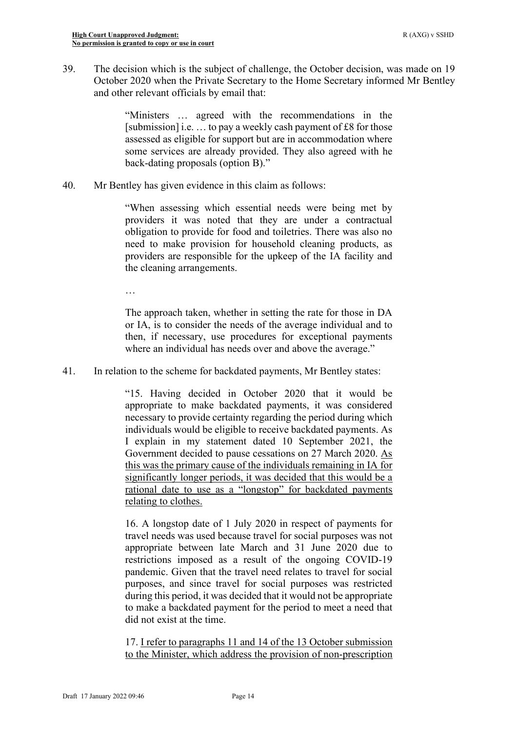39. The decision which is the subject of challenge, the October decision, was made on 19 October 2020 when the Private Secretary to the Home Secretary informed Mr Bentley and other relevant officials by email that:

> "Ministers … agreed with the recommendations in the [submission] i.e. … to pay a weekly cash payment of £8 for those assessed as eligible for support but are in accommodation where some services are already provided. They also agreed with he back-dating proposals (option B)."

40. Mr Bentley has given evidence in this claim as follows:

"When assessing which essential needs were being met by providers it was noted that they are under a contractual obligation to provide for food and toiletries. There was also no need to make provision for household cleaning products, as providers are responsible for the upkeep of the IA facility and the cleaning arrangements.

…

The approach taken, whether in setting the rate for those in DA or IA, is to consider the needs of the average individual and to then, if necessary, use procedures for exceptional payments where an individual has needs over and above the average."

41. In relation to the scheme for backdated payments, Mr Bentley states:

"15. Having decided in October 2020 that it would be appropriate to make backdated payments, it was considered necessary to provide certainty regarding the period during which individuals would be eligible to receive backdated payments. As I explain in my statement dated 10 September 2021, the Government decided to pause cessations on 27 March 2020. As this was the primary cause of the individuals remaining in IA for significantly longer periods, it was decided that this would be a rational date to use as a "longstop" for backdated payments relating to clothes.

16. A longstop date of 1 July 2020 in respect of payments for travel needs was used because travel for social purposes was not appropriate between late March and 31 June 2020 due to restrictions imposed as a result of the ongoing COVID-19 pandemic. Given that the travel need relates to travel for social purposes, and since travel for social purposes was restricted during this period, it was decided that it would not be appropriate to make a backdated payment for the period to meet a need that did not exist at the time.

17. I refer to paragraphs 11 and 14 of the 13 October submission to the Minister, which address the provision of non-prescription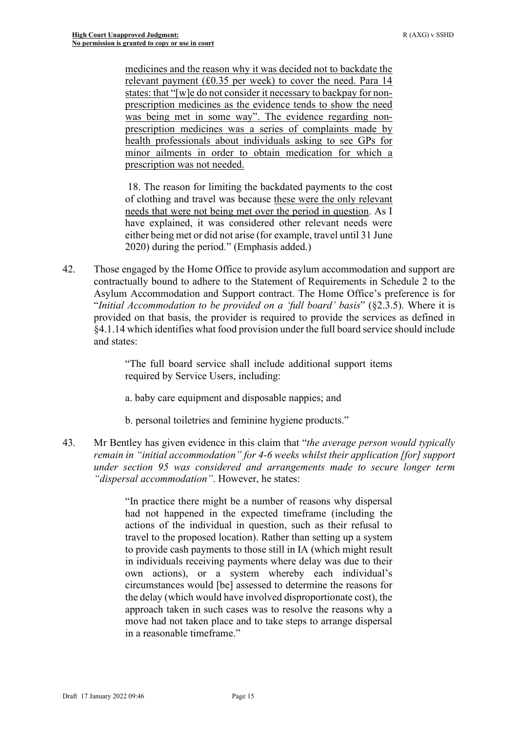medicines and the reason why it was decided not to backdate the relevant payment (£0.35 per week) to cover the need. Para 14 states: that "[w]e do not consider it necessary to backpay for nonprescription medicines as the evidence tends to show the need was being met in some way". The evidence regarding nonprescription medicines was a series of complaints made by health professionals about individuals asking to see GPs for minor ailments in order to obtain medication for which a prescription was not needed.

18. The reason for limiting the backdated payments to the cost of clothing and travel was because these were the only relevant needs that were not being met over the period in question. As I have explained, it was considered other relevant needs were either being met or did not arise (for example, travel until 31 June 2020) during the period." (Emphasis added.)

<span id="page-14-0"></span>42. Those engaged by the Home Office to provide asylum accommodation and support are contractually bound to adhere to the Statement of Requirements in Schedule 2 to the Asylum Accommodation and Support contract. The Home Office's preference is for "*Initial Accommodation to be provided on a 'full board' basis*" (§2.3.5). Where it is provided on that basis, the provider is required to provide the services as defined in §4.1.14 which identifies what food provision under the full board service should include and states:

> "The full board service shall include additional support items required by Service Users, including:

a. baby care equipment and disposable nappies; and

b. personal toiletries and feminine hygiene products."

43. Mr Bentley has given evidence in this claim that "*the average person would typically remain in "initial accommodation" for 4-6 weeks whilst their application [for] support under section 95 was considered and arrangements made to secure longer term "dispersal accommodation"*. However, he states:

> "In practice there might be a number of reasons why dispersal had not happened in the expected timeframe (including the actions of the individual in question, such as their refusal to travel to the proposed location). Rather than setting up a system to provide cash payments to those still in IA (which might result in individuals receiving payments where delay was due to their own actions), or a system whereby each individual's circumstances would [be] assessed to determine the reasons for the delay (which would have involved disproportionate cost), the approach taken in such cases was to resolve the reasons why a move had not taken place and to take steps to arrange dispersal in a reasonable timeframe."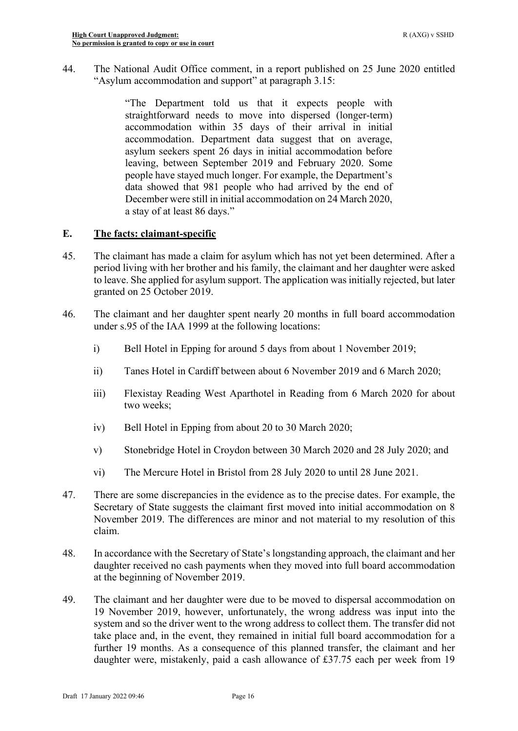44. The National Audit Office comment, in a report published on 25 June 2020 entitled "Asylum accommodation and support" at paragraph 3.15:

> "The Department told us that it expects people with straightforward needs to move into dispersed (longer-term) accommodation within 35 days of their arrival in initial accommodation. Department data suggest that on average, asylum seekers spent 26 days in initial accommodation before leaving, between September 2019 and February 2020. Some people have stayed much longer. For example, the Department's data showed that 981 people who had arrived by the end of December were still in initial accommodation on 24 March 2020, a stay of at least 86 days."

## **E. The facts: claimant-specific**

- 45. The claimant has made a claim for asylum which has not yet been determined. After a period living with her brother and his family, the claimant and her daughter were asked to leave. She applied for asylum support. The application was initially rejected, but later granted on 25 October 2019.
- 46. The claimant and her daughter spent nearly 20 months in full board accommodation under s.95 of the IAA 1999 at the following locations:
	- i) Bell Hotel in Epping for around 5 days from about 1 November 2019;
	- ii) Tanes Hotel in Cardiff between about 6 November 2019 and 6 March 2020;
	- iii) Flexistay Reading West Aparthotel in Reading from 6 March 2020 for about two weeks;
	- iv) Bell Hotel in Epping from about 20 to 30 March 2020;
	- v) Stonebridge Hotel in Croydon between 30 March 2020 and 28 July 2020; and
	- vi) The Mercure Hotel in Bristol from 28 July 2020 to until 28 June 2021.
- 47. There are some discrepancies in the evidence as to the precise dates. For example, the Secretary of State suggests the claimant first moved into initial accommodation on 8 November 2019. The differences are minor and not material to my resolution of this claim.
- 48. In accordance with the Secretary of State's longstanding approach, the claimant and her daughter received no cash payments when they moved into full board accommodation at the beginning of November 2019.
- 49. The claimant and her daughter were due to be moved to dispersal accommodation on 19 November 2019, however, unfortunately, the wrong address was input into the system and so the driver went to the wrong address to collect them. The transfer did not take place and, in the event, they remained in initial full board accommodation for a further 19 months. As a consequence of this planned transfer, the claimant and her daughter were, mistakenly, paid a cash allowance of £37.75 each per week from 19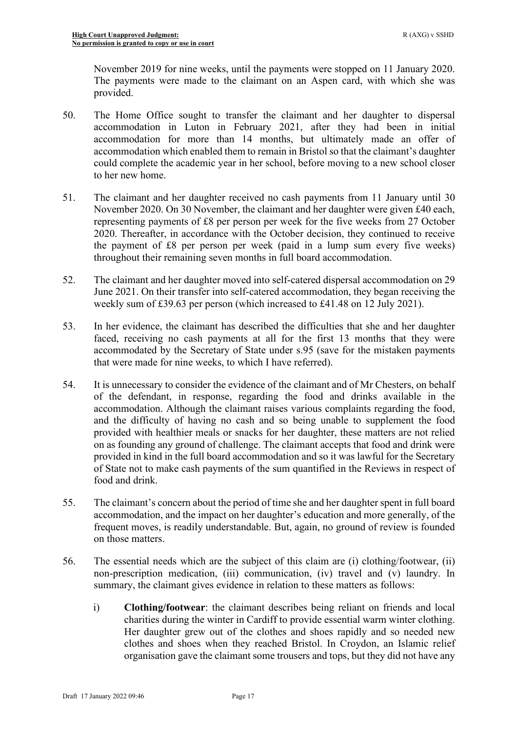November 2019 for nine weeks, until the payments were stopped on 11 January 2020. The payments were made to the claimant on an Aspen card, with which she was provided.

- 50. The Home Office sought to transfer the claimant and her daughter to dispersal accommodation in Luton in February 2021, after they had been in initial accommodation for more than 14 months, but ultimately made an offer of accommodation which enabled them to remain in Bristol so that the claimant's daughter could complete the academic year in her school, before moving to a new school closer to her new home.
- 51. The claimant and her daughter received no cash payments from 11 January until 30 November 2020. On 30 November, the claimant and her daughter were given £40 each, representing payments of £8 per person per week for the five weeks from 27 October 2020. Thereafter, in accordance with the October decision, they continued to receive the payment of £8 per person per week (paid in a lump sum every five weeks) throughout their remaining seven months in full board accommodation.
- 52. The claimant and her daughter moved into self-catered dispersal accommodation on 29 June 2021. On their transfer into self-catered accommodation, they began receiving the weekly sum of £39.63 per person (which increased to £41.48 on 12 July 2021).
- 53. In her evidence, the claimant has described the difficulties that she and her daughter faced, receiving no cash payments at all for the first 13 months that they were accommodated by the Secretary of State under s.95 (save for the mistaken payments that were made for nine weeks, to which I have referred).
- 54. It is unnecessary to consider the evidence of the claimant and of Mr Chesters, on behalf of the defendant, in response, regarding the food and drinks available in the accommodation. Although the claimant raises various complaints regarding the food, and the difficulty of having no cash and so being unable to supplement the food provided with healthier meals or snacks for her daughter, these matters are not relied on as founding any ground of challenge. The claimant accepts that food and drink were provided in kind in the full board accommodation and so it was lawful for the Secretary of State not to make cash payments of the sum quantified in the Reviews in respect of food and drink.
- 55. The claimant's concern about the period of time she and her daughter spent in full board accommodation, and the impact on her daughter's education and more generally, of the frequent moves, is readily understandable. But, again, no ground of review is founded on those matters.
- 56. The essential needs which are the subject of this claim are (i) clothing/footwear, (ii) non-prescription medication, (iii) communication, (iv) travel and (v) laundry. In summary, the claimant gives evidence in relation to these matters as follows:
	- i) **Clothing/footwear**: the claimant describes being reliant on friends and local charities during the winter in Cardiff to provide essential warm winter clothing. Her daughter grew out of the clothes and shoes rapidly and so needed new clothes and shoes when they reached Bristol. In Croydon, an Islamic relief organisation gave the claimant some trousers and tops, but they did not have any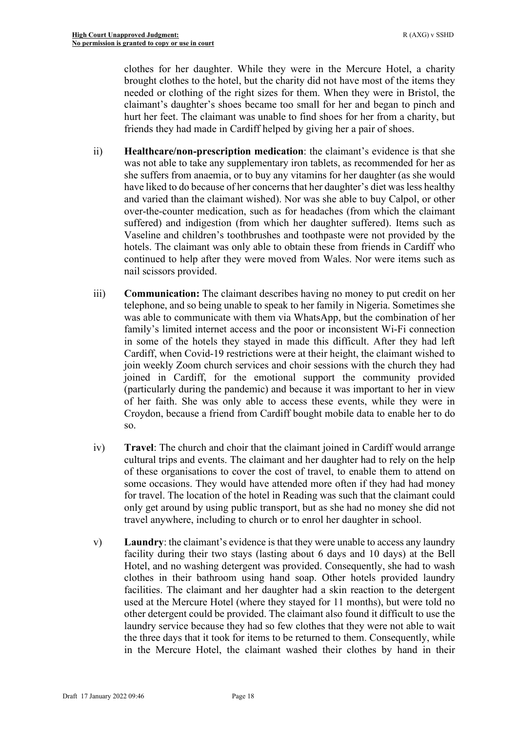clothes for her daughter. While they were in the Mercure Hotel, a charity brought clothes to the hotel, but the charity did not have most of the items they needed or clothing of the right sizes for them. When they were in Bristol, the claimant's daughter's shoes became too small for her and began to pinch and hurt her feet. The claimant was unable to find shoes for her from a charity, but friends they had made in Cardiff helped by giving her a pair of shoes.

- ii) **Healthcare/non-prescription medication**: the claimant's evidence is that she was not able to take any supplementary iron tablets, as recommended for her as she suffers from anaemia, or to buy any vitamins for her daughter (as she would have liked to do because of her concerns that her daughter's diet was less healthy and varied than the claimant wished). Nor was she able to buy Calpol, or other over-the-counter medication, such as for headaches (from which the claimant suffered) and indigestion (from which her daughter suffered). Items such as Vaseline and children's toothbrushes and toothpaste were not provided by the hotels. The claimant was only able to obtain these from friends in Cardiff who continued to help after they were moved from Wales. Nor were items such as nail scissors provided.
- iii) **Communication:** The claimant describes having no money to put credit on her telephone, and so being unable to speak to her family in Nigeria. Sometimes she was able to communicate with them via WhatsApp, but the combination of her family's limited internet access and the poor or inconsistent Wi-Fi connection in some of the hotels they stayed in made this difficult. After they had left Cardiff, when Covid-19 restrictions were at their height, the claimant wished to join weekly Zoom church services and choir sessions with the church they had joined in Cardiff, for the emotional support the community provided (particularly during the pandemic) and because it was important to her in view of her faith. She was only able to access these events, while they were in Croydon, because a friend from Cardiff bought mobile data to enable her to do so.
- iv) **Travel**: The church and choir that the claimant joined in Cardiff would arrange cultural trips and events. The claimant and her daughter had to rely on the help of these organisations to cover the cost of travel, to enable them to attend on some occasions. They would have attended more often if they had had money for travel. The location of the hotel in Reading was such that the claimant could only get around by using public transport, but as she had no money she did not travel anywhere, including to church or to enrol her daughter in school.
- v) **Laundry**: the claimant's evidence is that they were unable to access any laundry facility during their two stays (lasting about 6 days and 10 days) at the Bell Hotel, and no washing detergent was provided. Consequently, she had to wash clothes in their bathroom using hand soap. Other hotels provided laundry facilities. The claimant and her daughter had a skin reaction to the detergent used at the Mercure Hotel (where they stayed for 11 months), but were told no other detergent could be provided. The claimant also found it difficult to use the laundry service because they had so few clothes that they were not able to wait the three days that it took for items to be returned to them. Consequently, while in the Mercure Hotel, the claimant washed their clothes by hand in their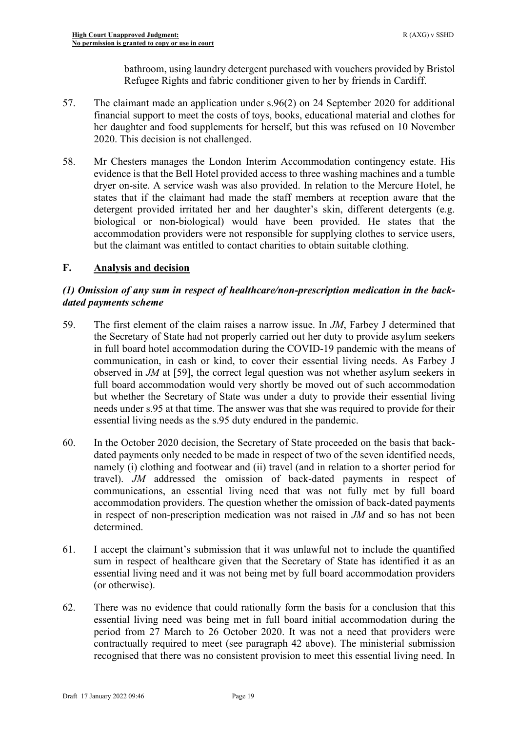bathroom, using laundry detergent purchased with vouchers provided by Bristol Refugee Rights and fabric conditioner given to her by friends in Cardiff.

- 57. The claimant made an application under s.96(2) on 24 September 2020 for additional financial support to meet the costs of toys, books, educational material and clothes for her daughter and food supplements for herself, but this was refused on 10 November 2020. This decision is not challenged.
- <span id="page-18-0"></span>58. Mr Chesters manages the London Interim Accommodation contingency estate. His evidence is that the Bell Hotel provided access to three washing machines and a tumble dryer on-site. A service wash was also provided. In relation to the Mercure Hotel, he states that if the claimant had made the staff members at reception aware that the detergent provided irritated her and her daughter's skin, different detergents (e.g. biological or non-biological) would have been provided. He states that the accommodation providers were not responsible for supplying clothes to service users, but the claimant was entitled to contact charities to obtain suitable clothing.

# **F. Analysis and decision**

# *(1) Omission of any sum in respect of healthcare/non-prescription medication in the backdated payments scheme*

- 59. The first element of the claim raises a narrow issue. In *JM*, Farbey J determined that the Secretary of State had not properly carried out her duty to provide asylum seekers in full board hotel accommodation during the COVID-19 pandemic with the means of communication, in cash or kind, to cover their essential living needs. As Farbey J observed in *JM* at [59], the correct legal question was not whether asylum seekers in full board accommodation would very shortly be moved out of such accommodation but whether the Secretary of State was under a duty to provide their essential living needs under s.95 at that time. The answer was that she was required to provide for their essential living needs as the s.95 duty endured in the pandemic.
- 60. In the October 2020 decision, the Secretary of State proceeded on the basis that backdated payments only needed to be made in respect of two of the seven identified needs, namely (i) clothing and footwear and (ii) travel (and in relation to a shorter period for travel). *JM* addressed the omission of back-dated payments in respect of communications, an essential living need that was not fully met by full board accommodation providers. The question whether the omission of back-dated payments in respect of non-prescription medication was not raised in *JM* and so has not been determined.
- 61. I accept the claimant's submission that it was unlawful not to include the quantified sum in respect of healthcare given that the Secretary of State has identified it as an essential living need and it was not being met by full board accommodation providers (or otherwise).
- 62. There was no evidence that could rationally form the basis for a conclusion that this essential living need was being met in full board initial accommodation during the period from 27 March to 26 October 2020. It was not a need that providers were contractually required to meet (see paragraph [42 above\)](#page-14-0). The ministerial submission recognised that there was no consistent provision to meet this essential living need. In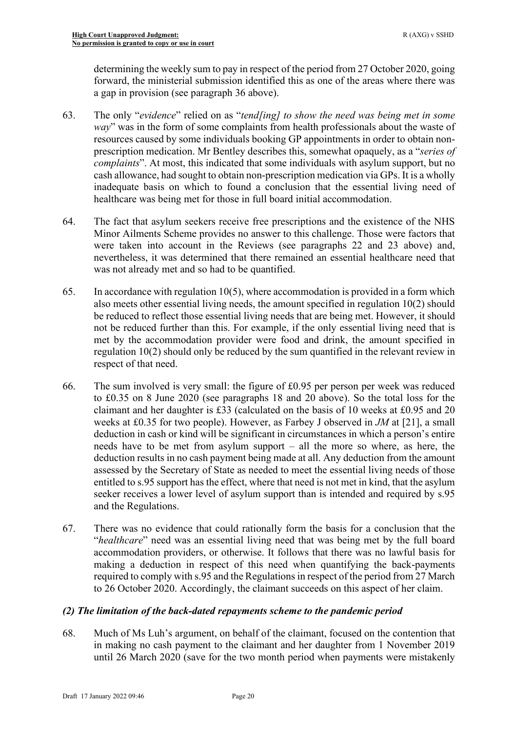determining the weekly sum to pay in respect of the period from 27 October 2020, going forward, the ministerial submission identified this as one of the areas where there was a gap in provision (see paragraph [36 above\)](#page-11-0).

- 63. The only "*evidence*" relied on as "*tend[ing] to show the need was being met in some way*" was in the form of some complaints from health professionals about the waste of resources caused by some individuals booking GP appointments in order to obtain nonprescription medication. Mr Bentley describes this, somewhat opaquely, as a "*series of complaints*". At most, this indicated that some individuals with asylum support, but no cash allowance, had sought to obtain non-prescription medication via GPs. It is a wholly inadequate basis on which to found a conclusion that the essential living need of healthcare was being met for those in full board initial accommodation.
- 64. The fact that asylum seekers receive free prescriptions and the existence of the NHS Minor Ailments Scheme provides no answer to this challenge. Those were factors that were taken into account in the Reviews (see paragraphs [22](#page-5-0) and [23 above\)](#page-5-1) and, nevertheless, it was determined that there remained an essential healthcare need that was not already met and so had to be quantified.
- 65. In accordance with regulation 10(5), where accommodation is provided in a form which also meets other essential living needs, the amount specified in regulation 10(2) should be reduced to reflect those essential living needs that are being met. However, it should not be reduced further than this. For example, if the only essential living need that is met by the accommodation provider were food and drink, the amount specified in regulation 10(2) should only be reduced by the sum quantified in the relevant review in respect of that need.
- 66. The sum involved is very small: the figure of £0.95 per person per week was reduced to £0.35 on 8 June 2020 (see paragraphs [18](#page-4-0) and [20 above\)](#page-4-1). So the total loss for the claimant and her daughter is £33 (calculated on the basis of 10 weeks at £0.95 and 20 weeks at £0.35 for two people). However, as Farbey J observed in *JM* at [21], a small deduction in cash or kind will be significant in circumstances in which a person's entire needs have to be met from asylum support – all the more so where, as here, the deduction results in no cash payment being made at all. Any deduction from the amount assessed by the Secretary of State as needed to meet the essential living needs of those entitled to s.95 support has the effect, where that need is not met in kind, that the asylum seeker receives a lower level of asylum support than is intended and required by s.95 and the Regulations.
- 67. There was no evidence that could rationally form the basis for a conclusion that the "*healthcare*" need was an essential living need that was being met by the full board accommodation providers, or otherwise. It follows that there was no lawful basis for making a deduction in respect of this need when quantifying the back-payments required to comply with s.95 and the Regulations in respect of the period from 27 March to 26 October 2020. Accordingly, the claimant succeeds on this aspect of her claim.

# *(2) The limitation of the back-dated repayments scheme to the pandemic period*

68. Much of Ms Luh's argument, on behalf of the claimant, focused on the contention that in making no cash payment to the claimant and her daughter from 1 November 2019 until 26 March 2020 (save for the two month period when payments were mistakenly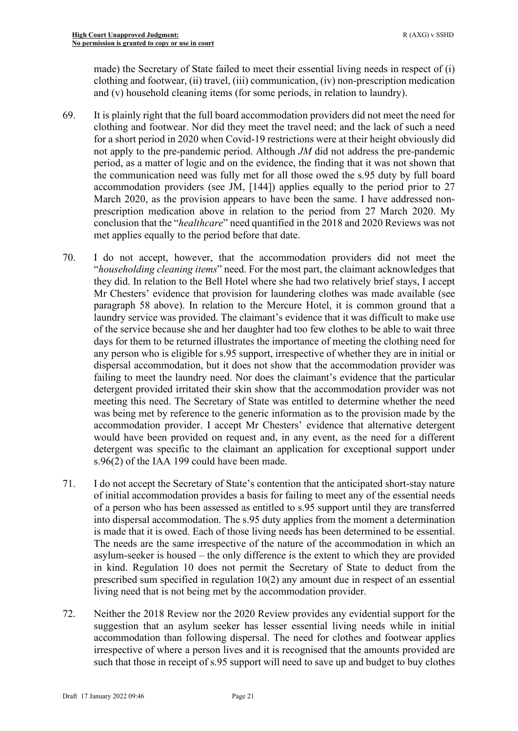made) the Secretary of State failed to meet their essential living needs in respect of (i) clothing and footwear, (ii) travel, (iii) communication, (iv) non-prescription medication and (v) household cleaning items (for some periods, in relation to laundry).

- 69. It is plainly right that the full board accommodation providers did not meet the need for clothing and footwear. Nor did they meet the travel need; and the lack of such a need for a short period in 2020 when Covid-19 restrictions were at their height obviously did not apply to the pre-pandemic period. Although *JM* did not address the pre-pandemic period, as a matter of logic and on the evidence, the finding that it was not shown that the communication need was fully met for all those owed the s.95 duty by full board accommodation providers (see JM, [144]) applies equally to the period prior to 27 March 2020, as the provision appears to have been the same. I have addressed nonprescription medication above in relation to the period from 27 March 2020. My conclusion that the "*healthcare*" need quantified in the 2018 and 2020 Reviews was not met applies equally to the period before that date.
- 70. I do not accept, however, that the accommodation providers did not meet the "*householding cleaning items*" need. For the most part, the claimant acknowledges that they did. In relation to the Bell Hotel where she had two relatively brief stays, I accept Mr Chesters' evidence that provision for laundering clothes was made available (see paragraph [58 above\)](#page-18-0). In relation to the Mercure Hotel, it is common ground that a laundry service was provided. The claimant's evidence that it was difficult to make use of the service because she and her daughter had too few clothes to be able to wait three days for them to be returned illustrates the importance of meeting the clothing need for any person who is eligible for s.95 support, irrespective of whether they are in initial or dispersal accommodation, but it does not show that the accommodation provider was failing to meet the laundry need. Nor does the claimant's evidence that the particular detergent provided irritated their skin show that the accommodation provider was not meeting this need. The Secretary of State was entitled to determine whether the need was being met by reference to the generic information as to the provision made by the accommodation provider. I accept Mr Chesters' evidence that alternative detergent would have been provided on request and, in any event, as the need for a different detergent was specific to the claimant an application for exceptional support under s.96(2) of the IAA 199 could have been made.
- 71. I do not accept the Secretary of State's contention that the anticipated short-stay nature of initial accommodation provides a basis for failing to meet any of the essential needs of a person who has been assessed as entitled to s.95 support until they are transferred into dispersal accommodation. The s.95 duty applies from the moment a determination is made that it is owed. Each of those living needs has been determined to be essential. The needs are the same irrespective of the nature of the accommodation in which an asylum-seeker is housed – the only difference is the extent to which they are provided in kind. Regulation 10 does not permit the Secretary of State to deduct from the prescribed sum specified in regulation 10(2) any amount due in respect of an essential living need that is not being met by the accommodation provider.
- 72. Neither the 2018 Review nor the 2020 Review provides any evidential support for the suggestion that an asylum seeker has lesser essential living needs while in initial accommodation than following dispersal. The need for clothes and footwear applies irrespective of where a person lives and it is recognised that the amounts provided are such that those in receipt of s.95 support will need to save up and budget to buy clothes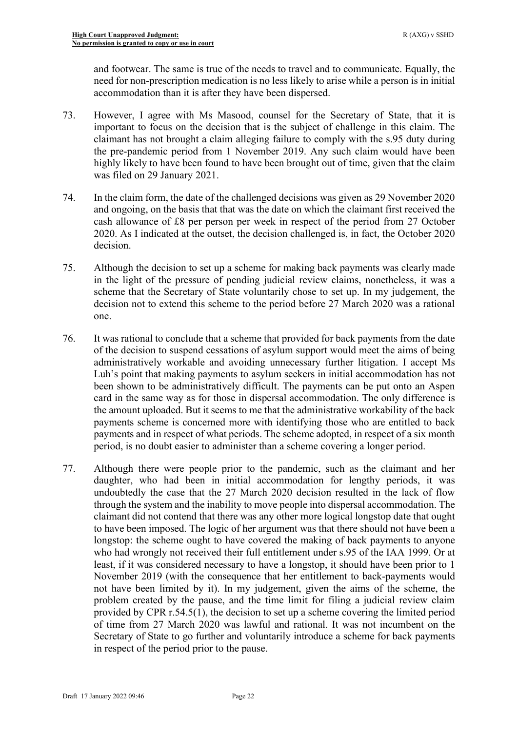and footwear. The same is true of the needs to travel and to communicate. Equally, the need for non-prescription medication is no less likely to arise while a person is in initial accommodation than it is after they have been dispersed.

- 73. However, I agree with Ms Masood, counsel for the Secretary of State, that it is important to focus on the decision that is the subject of challenge in this claim. The claimant has not brought a claim alleging failure to comply with the s.95 duty during the pre-pandemic period from 1 November 2019. Any such claim would have been highly likely to have been found to have been brought out of time, given that the claim was filed on 29 January 2021.
- 74. In the claim form, the date of the challenged decisions was given as 29 November 2020 and ongoing, on the basis that that was the date on which the claimant first received the cash allowance of £8 per person per week in respect of the period from 27 October 2020. As I indicated at the outset, the decision challenged is, in fact, the October 2020 decision.
- 75. Although the decision to set up a scheme for making back payments was clearly made in the light of the pressure of pending judicial review claims, nonetheless, it was a scheme that the Secretary of State voluntarily chose to set up. In my judgement, the decision not to extend this scheme to the period before 27 March 2020 was a rational one.
- 76. It was rational to conclude that a scheme that provided for back payments from the date of the decision to suspend cessations of asylum support would meet the aims of being administratively workable and avoiding unnecessary further litigation. I accept Ms Luh's point that making payments to asylum seekers in initial accommodation has not been shown to be administratively difficult. The payments can be put onto an Aspen card in the same way as for those in dispersal accommodation. The only difference is the amount uploaded. But it seems to me that the administrative workability of the back payments scheme is concerned more with identifying those who are entitled to back payments and in respect of what periods. The scheme adopted, in respect of a six month period, is no doubt easier to administer than a scheme covering a longer period.
- 77. Although there were people prior to the pandemic, such as the claimant and her daughter, who had been in initial accommodation for lengthy periods, it was undoubtedly the case that the 27 March 2020 decision resulted in the lack of flow through the system and the inability to move people into dispersal accommodation. The claimant did not contend that there was any other more logical longstop date that ought to have been imposed. The logic of her argument was that there should not have been a longstop: the scheme ought to have covered the making of back payments to anyone who had wrongly not received their full entitlement under s.95 of the IAA 1999. Or at least, if it was considered necessary to have a longstop, it should have been prior to 1 November 2019 (with the consequence that her entitlement to back-payments would not have been limited by it). In my judgement, given the aims of the scheme, the problem created by the pause, and the time limit for filing a judicial review claim provided by CPR r.54.5(1), the decision to set up a scheme covering the limited period of time from 27 March 2020 was lawful and rational. It was not incumbent on the Secretary of State to go further and voluntarily introduce a scheme for back payments in respect of the period prior to the pause.